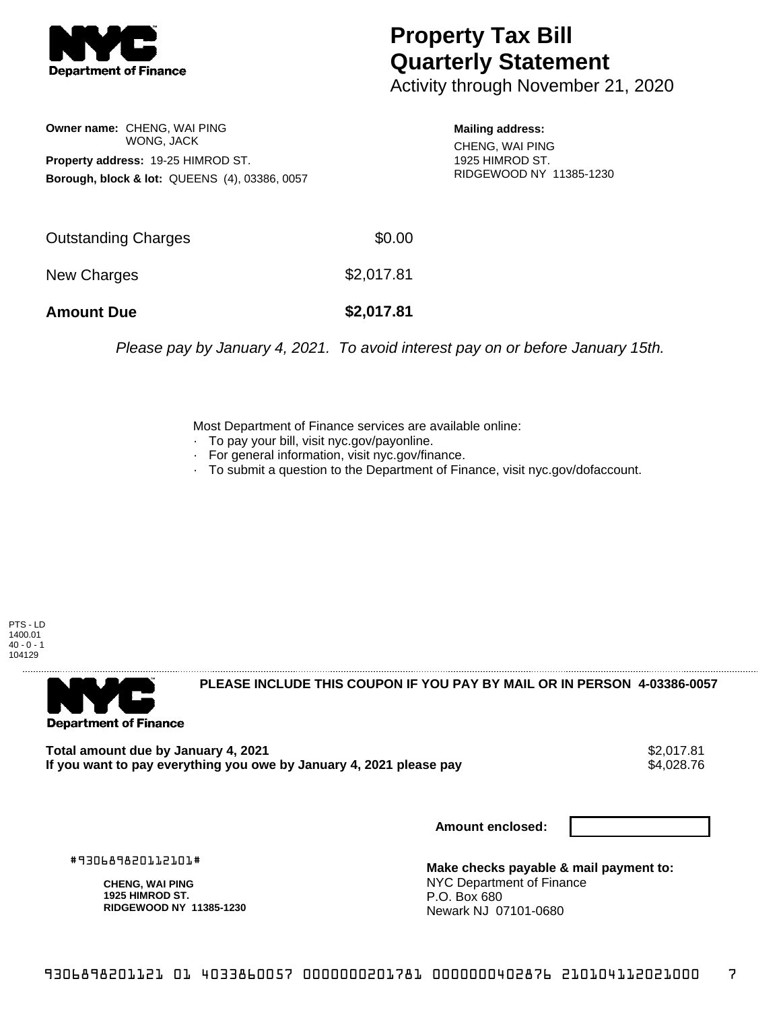

## **Property Tax Bill Quarterly Statement**

Activity through November 21, 2020

**Owner name:** CHENG, WAI PING WONG, JACK **Property address:** 19-25 HIMROD ST. **Borough, block & lot:** QUEENS (4), 03386, 0057

**Mailing address:** CHENG, WAI PING

1925 HIMROD ST. RIDGEWOOD NY 11385-1230

| <b>Amount Due</b>   | \$2,017.81 |
|---------------------|------------|
| New Charges         | \$2,017.81 |
| Outstanding Charges | \$0.00     |

Please pay by January 4, 2021. To avoid interest pay on or before January 15th.

Most Department of Finance services are available online:

- · To pay your bill, visit nyc.gov/payonline.
- For general information, visit nyc.gov/finance.
- · To submit a question to the Department of Finance, visit nyc.gov/dofaccount.

PTS - LD 1400.01  $40 - 0 - 1$ 104129



**PLEASE INCLUDE THIS COUPON IF YOU PAY BY MAIL OR IN PERSON 4-03386-0057** 

**Total amount due by January 4, 2021**<br>If you want to pay everything you owe by January 4, 2021 please pay **strategy of the Superior Automate** \$4,028.76 If you want to pay everything you owe by January 4, 2021 please pay

**Amount enclosed:**

#930689820112101#

**CHENG, WAI PING 1925 HIMROD ST. RIDGEWOOD NY 11385-1230**

**Make checks payable & mail payment to:** NYC Department of Finance P.O. Box 680 Newark NJ 07101-0680